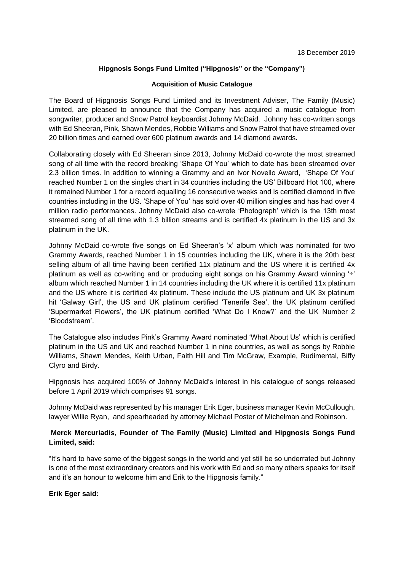# **Hipgnosis Songs Fund Limited ("Hipgnosis" or the "Company")**

## **Acquisition of Music Catalogue**

The Board of Hipgnosis Songs Fund Limited and its Investment Adviser, The Family (Music) Limited, are pleased to announce that the Company has acquired a music catalogue from songwriter, producer and Snow Patrol keyboardist Johnny McDaid. Johnny has co-written songs with Ed Sheeran, Pink, Shawn Mendes, Robbie Williams and Snow Patrol that have streamed over 20 billion times and earned over 600 platinum awards and 14 diamond awards.

Collaborating closely with Ed Sheeran since 2013, Johnny McDaid co-wrote the most streamed song of all time with the record breaking 'Shape Of You' which to date has been streamed over 2.3 billion times. In addition to winning a Grammy and an Ivor Novello Award, 'Shape Of You' reached Number 1 on the singles chart in 34 countries including the US' Billboard Hot 100, where it remained Number 1 for a record equalling 16 consecutive weeks and is certified diamond in five countries including in the US. 'Shape of You' has sold over 40 million singles and has had over 4 million radio performances. Johnny McDaid also co-wrote 'Photograph' which is the 13th most streamed song of all time with 1.3 billion streams and is certified 4x platinum in the US and 3x platinum in the UK.

Johnny McDaid co-wrote five songs on Ed Sheeran's 'x' album which was nominated for two Grammy Awards, reached Number 1 in 15 countries including the UK, where it is the 20th best selling album of all time having been certified 11x platinum and the US where it is certified 4x platinum as well as co-writing and or producing eight songs on his Grammy Award winning '÷' album which reached Number 1 in 14 countries including the UK where it is certified 11x platinum and the US where it is certified 4x platinum. These include the US platinum and UK 3x platinum hit 'Galway Girl', the US and UK platinum certified 'Tenerife Sea', the UK platinum certified 'Supermarket Flowers', the UK platinum certified 'What Do I Know?' and the UK Number 2 'Bloodstream'.

The Catalogue also includes Pink's Grammy Award nominated 'What About Us' which is certified platinum in the US and UK and reached Number 1 in nine countries, as well as songs by Robbie Williams, Shawn Mendes, Keith Urban, Faith Hill and Tim McGraw, Example, Rudimental, Biffy Clyro and Birdy.

Hipgnosis has acquired 100% of Johnny McDaid's interest in his catalogue of songs released before 1 April 2019 which comprises 91 songs.

Johnny McDaid was represented by his manager Erik Eger, business manager Kevin McCullough, lawyer Willie Ryan, and spearheaded by attorney Michael Poster of Michelman and Robinson.

# **Merck Mercuriadis, Founder of The Family (Music) Limited and Hipgnosis Songs Fund Limited, said:**

"It's hard to have some of the biggest songs in the world and yet still be so underrated but Johnny is one of the most extraordinary creators and his work with Ed and so many others speaks for itself and it's an honour to welcome him and Erik to the Hipgnosis family."

## **Erik Eger said:**